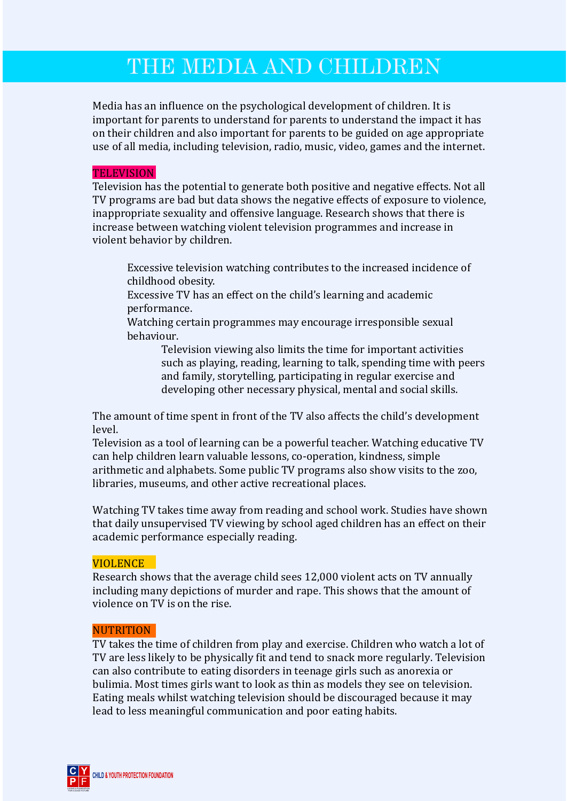# THE MEDIA AND CHILDREN

Media has an influence on the psychological development of children. It is important for parents to understand for parents to understand the impact it has on their children and also important for parents to be guided on age appropriate use of all media, including television, radio, music, video, games and the internet.

# **TELEVISION**

Television has the potential to generate both positive and negative effects. Not all TV programs are bad but data shows the negative effects of exposure to violence, inappropriate sexuality and offensive language. Research shows that there is increase between watching violent television programmes and increase in violent behavior by children.

Excessive television watching contributes to the increased incidence of childhood obesity.

Excessive TV has an effect on the child's learning and academic performance.

Watching certain programmes may encourage irresponsible sexual behaviour.

> Television viewing also limits the time for important activities such as playing, reading, learning to talk, spending time with peers and family, storytelling, participating in regular exercise and developing other necessary physical, mental and social skills.

The amount of time spent in front of the TV also affects the child's development level.

Television as a tool of learning can be a powerful teacher. Watching educative TV can help children learn valuable lessons, co-operation, kindness, simple arithmetic and alphabets. Some public TV programs also show visits to the zoo, libraries, museums, and other active recreational places.

Watching TV takes time away from reading and school work. Studies have shown that daily unsupervised TV viewing by school aged children has an effect on their academic performance especially reading.

# **VIOLENCE**

Research shows that the average child sees 12,000 violent acts on TV annually including many depictions of murder and rape. This shows that the amount of violence on TV is on the rise.

#### **NUTRITION**

TV takes the time of children from play and exercise. Children who watch a lot of TV are less likely to be physically fit and tend to snack more regularly. Television can also contribute to eating disorders in teenage girls such as anorexia or bulimia. Most times girls want to look as thin as models they see on television. Eating meals whilst watching television should be discouraged because it may lead to less meaningful communication and poor eating habits.

**CHILD & YOUTH PROTECTION FOUNDATION**

**C Y P** F

LAYING A FOUNDATION FOR A GOOD FUTURE